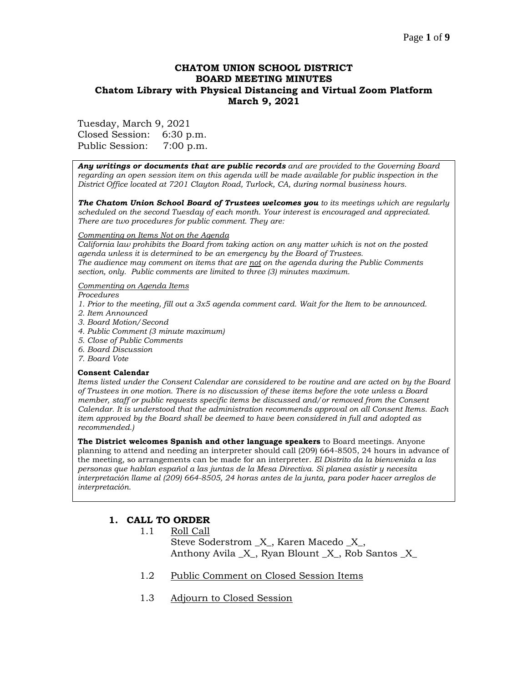### Page **1** of **9**

## **CHATOM UNION SCHOOL DISTRICT BOARD MEETING MINUTES Chatom Library with Physical Distancing and Virtual Zoom Platform March 9, 2021**

Tuesday, March 9, 2021

Closed Session: 6:30 p.m. Public Session: 7:00 p.m.

*Any writings or documents that are public records and are provided to the Governing Board regarding an open session item on this agenda will be made available for public inspection in the District Office located at 7201 Clayton Road, Turlock, CA, during normal business hours.*

*The Chatom Union School Board of Trustees welcomes you to its meetings which are regularly scheduled on the second Tuesday of each month. Your interest is encouraged and appreciated. There are two procedures for public comment. They are:*

#### *Commenting on Items Not on the Agenda*

*California law prohibits the Board from taking action on any matter which is not on the posted agenda unless it is determined to be an emergency by the Board of Trustees. The audience may comment on items that are not on the agenda during the Public Comments section, only. Public comments are limited to three (3) minutes maximum.*

#### *Commenting on Agenda Items*

*Procedures* 

- *1. Prior to the meeting, fill out a 3x5 agenda comment card. Wait for the Item to be announced.*
- *2. Item Announced*
- *3. Board Motion/Second*
- *4. Public Comment (3 minute maximum)*
- *5. Close of Public Comments*
- *6. Board Discussion*
- *7. Board Vote*

#### **Consent Calendar**

*Items listed under the Consent Calendar are considered to be routine and are acted on by the Board of Trustees in one motion. There is no discussion of these items before the vote unless a Board member, staff or public requests specific items be discussed and/or removed from the Consent Calendar. It is understood that the administration recommends approval on all Consent Items. Each item approved by the Board shall be deemed to have been considered in full and adopted as recommended.)*

**The District welcomes Spanish and other language speakers** to Board meetings. Anyone planning to attend and needing an interpreter should call (209) 664-8505, 24 hours in advance of the meeting, so arrangements can be made for an interpreter. *El Distrito da la bienvenida a las personas que hablan español a las juntas de la Mesa Directiva. Si planea asistir y necesita interpretación llame al (209) 664-8505, 24 horas antes de la junta, para poder hacer arreglos de interpretación.*

## **1. CALL TO ORDER**

1.1 Roll Call

Steve Soderstrom \_X\_, Karen Macedo \_X\_, Anthony Avila \_X\_, Ryan Blount \_X\_, Rob Santos \_X\_

- 1.2 Public Comment on Closed Session Items
- 1.3 Adjourn to Closed Session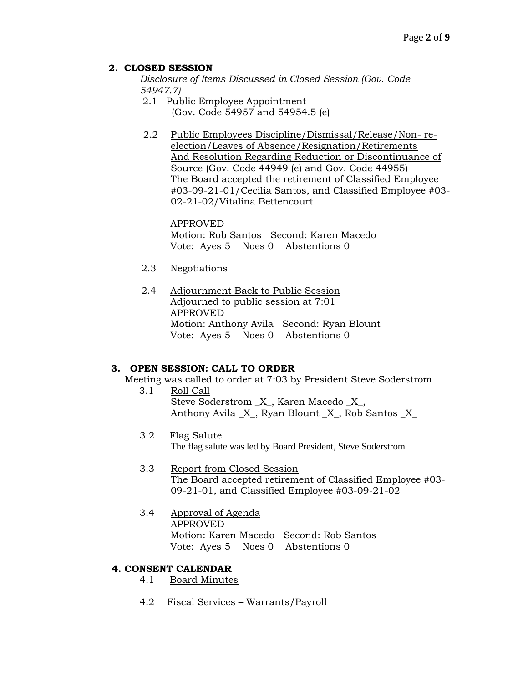## **2. CLOSED SESSION**

*Disclosure of Items Discussed in Closed Session (Gov. Code 54947.7)*

- 2.1 Public Employee Appointment (Gov. Code 54957 and 54954.5 (e)
- 2.2 Public Employees Discipline/Dismissal/Release/Non- reelection/Leaves of Absence/Resignation/Retirements And Resolution Regarding Reduction or Discontinuance of Source (Gov. Code 44949 (e) and Gov. Code 44955) The Board accepted the retirement of Classified Employee #03-09-21-01/Cecilia Santos, and Classified Employee #03- 02-21-02/Vitalina Bettencourt

APPROVED Motion: Rob Santos Second: Karen Macedo Vote: Ayes 5 Noes 0 Abstentions 0

- 2.3 Negotiations
- 2.4 Adjournment Back to Public Session Adjourned to public session at 7:01 APPROVED Motion: Anthony Avila Second: Ryan Blount Vote: Ayes 5 Noes 0 Abstentions 0

## **3. OPEN SESSION: CALL TO ORDER**

Meeting was called to order at 7:03 by President Steve Soderstrom

- 3.1 Roll Call Steve Soderstrom \_X\_, Karen Macedo \_X\_, Anthony Avila  $X$ , Ryan Blount  $X$ , Rob Santos  $X$
- 3.2 Flag Salute The flag salute was led by Board President, Steve Soderstrom
- 3.3 Report from Closed Session The Board accepted retirement of Classified Employee #03- 09-21-01, and Classified Employee #03-09-21-02
- 3.4 Approval of Agenda APPROVED Motion: Karen Macedo Second: Rob Santos Vote: Ayes 5 Noes 0 Abstentions 0

## **4. CONSENT CALENDAR**

- 4.1 Board Minutes
- 4.2 Fiscal Services Warrants/Payroll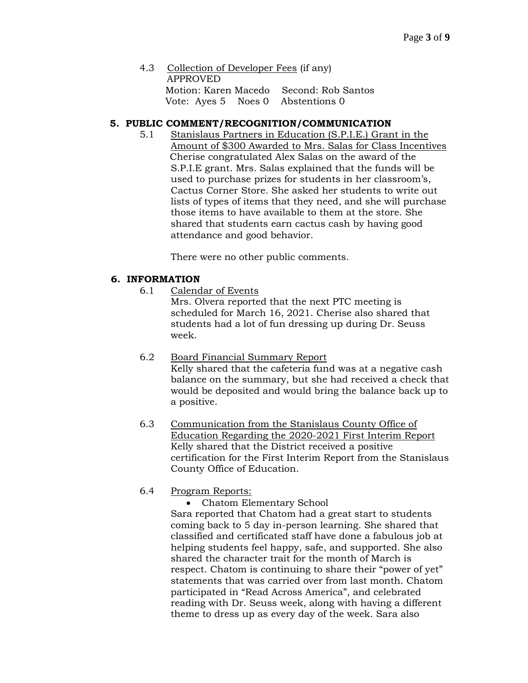4.3 Collection of Developer Fees (if any) APPROVED Motion: Karen Macedo Second: Rob Santos Vote: Ayes 5 Noes 0 Abstentions 0

## **5. PUBLIC COMMENT/RECOGNITION/COMMUNICATION**

5.1 Stanislaus Partners in Education (S.P.I.E.) Grant in the Amount of \$300 Awarded to Mrs. Salas for Class Incentives Cherise congratulated Alex Salas on the award of the S.P.I.E grant. Mrs. Salas explained that the funds will be used to purchase prizes for students in her classroom's, Cactus Corner Store. She asked her students to write out lists of types of items that they need, and she will purchase those items to have available to them at the store. She shared that students earn cactus cash by having good attendance and good behavior.

There were no other public comments.

## **6. INFORMATION**

6.1 Calendar of Events

Mrs. Olvera reported that the next PTC meeting is scheduled for March 16, 2021. Cherise also shared that students had a lot of fun dressing up during Dr. Seuss week.

- 6.2 Board Financial Summary Report Kelly shared that the cafeteria fund was at a negative cash balance on the summary, but she had received a check that would be deposited and would bring the balance back up to a positive.
- 6.3 Communication from the Stanislaus County Office of Education Regarding the 2020-2021 First Interim Report Kelly shared that the District received a positive certification for the First Interim Report from the Stanislaus County Office of Education.

# 6.4 Program Reports:

• Chatom Elementary School Sara reported that Chatom had a great start to students coming back to 5 day in-person learning. She shared that classified and certificated staff have done a fabulous job at helping students feel happy, safe, and supported. She also shared the character trait for the month of March is respect. Chatom is continuing to share their "power of yet" statements that was carried over from last month. Chatom participated in "Read Across America", and celebrated reading with Dr. Seuss week, along with having a different theme to dress up as every day of the week. Sara also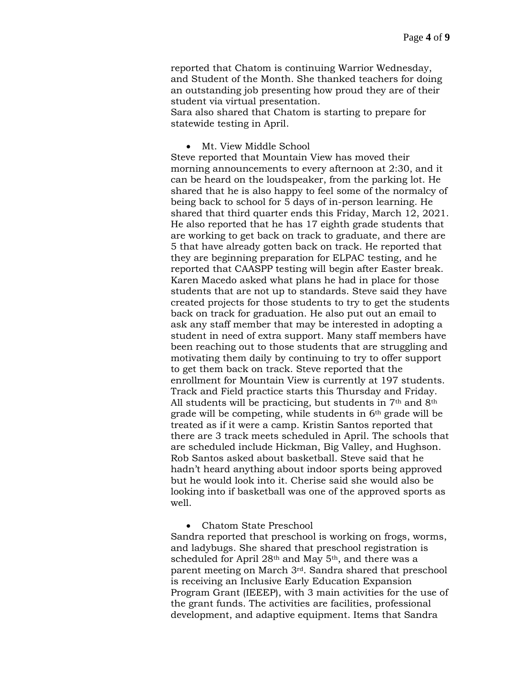reported that Chatom is continuing Warrior Wednesday, and Student of the Month. She thanked teachers for doing an outstanding job presenting how proud they are of their student via virtual presentation.

Sara also shared that Chatom is starting to prepare for statewide testing in April.

### • Mt. View Middle School

Steve reported that Mountain View has moved their morning announcements to every afternoon at 2:30, and it can be heard on the loudspeaker, from the parking lot. He shared that he is also happy to feel some of the normalcy of being back to school for 5 days of in-person learning. He shared that third quarter ends this Friday, March 12, 2021. He also reported that he has 17 eighth grade students that are working to get back on track to graduate, and there are 5 that have already gotten back on track. He reported that they are beginning preparation for ELPAC testing, and he reported that CAASPP testing will begin after Easter break. Karen Macedo asked what plans he had in place for those students that are not up to standards. Steve said they have created projects for those students to try to get the students back on track for graduation. He also put out an email to ask any staff member that may be interested in adopting a student in need of extra support. Many staff members have been reaching out to those students that are struggling and motivating them daily by continuing to try to offer support to get them back on track. Steve reported that the enrollment for Mountain View is currently at 197 students. Track and Field practice starts this Thursday and Friday. All students will be practicing, but students in  $7<sup>th</sup>$  and  $8<sup>th</sup>$ grade will be competing, while students in 6th grade will be treated as if it were a camp. Kristin Santos reported that there are 3 track meets scheduled in April. The schools that are scheduled include Hickman, Big Valley, and Hughson. Rob Santos asked about basketball. Steve said that he hadn't heard anything about indoor sports being approved but he would look into it. Cherise said she would also be looking into if basketball was one of the approved sports as well.

• Chatom State Preschool

Sandra reported that preschool is working on frogs, worms, and ladybugs. She shared that preschool registration is scheduled for April  $28<sup>th</sup>$  and May 5<sup>th</sup>, and there was a parent meeting on March 3rd. Sandra shared that preschool is receiving an Inclusive Early Education Expansion Program Grant (IEEEP), with 3 main activities for the use of the grant funds. The activities are facilities, professional development, and adaptive equipment. Items that Sandra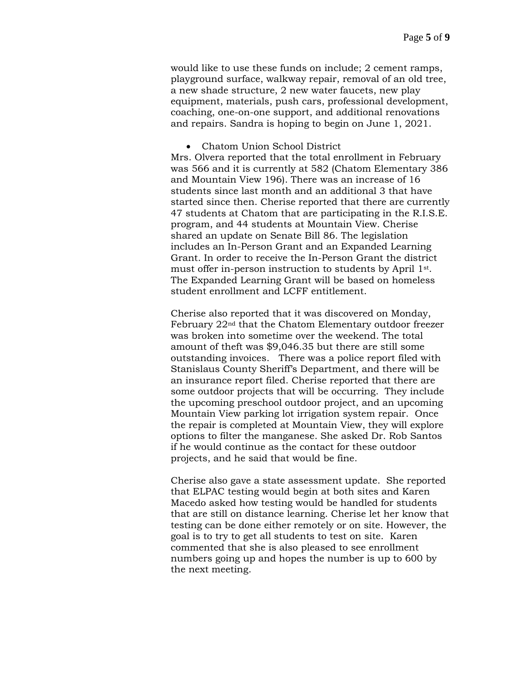would like to use these funds on include; 2 cement ramps, playground surface, walkway repair, removal of an old tree, a new shade structure, 2 new water faucets, new play equipment, materials, push cars, professional development, coaching, one-on-one support, and additional renovations and repairs. Sandra is hoping to begin on June 1, 2021.

• Chatom Union School District

Mrs. Olvera reported that the total enrollment in February was 566 and it is currently at 582 (Chatom Elementary 386 and Mountain View 196). There was an increase of 16 students since last month and an additional 3 that have started since then. Cherise reported that there are currently 47 students at Chatom that are participating in the R.I.S.E. program, and 44 students at Mountain View. Cherise shared an update on Senate Bill 86. The legislation includes an In-Person Grant and an Expanded Learning Grant. In order to receive the In-Person Grant the district must offer in-person instruction to students by April 1st. The Expanded Learning Grant will be based on homeless student enrollment and LCFF entitlement.

Cherise also reported that it was discovered on Monday, February 22nd that the Chatom Elementary outdoor freezer was broken into sometime over the weekend. The total amount of theft was \$9,046.35 but there are still some outstanding invoices. There was a police report filed with Stanislaus County Sheriff's Department, and there will be an insurance report filed. Cherise reported that there are some outdoor projects that will be occurring. They include the upcoming preschool outdoor project, and an upcoming Mountain View parking lot irrigation system repair. Once the repair is completed at Mountain View, they will explore options to filter the manganese. She asked Dr. Rob Santos if he would continue as the contact for these outdoor projects, and he said that would be fine.

Cherise also gave a state assessment update. She reported that ELPAC testing would begin at both sites and Karen Macedo asked how testing would be handled for students that are still on distance learning. Cherise let her know that testing can be done either remotely or on site. However, the goal is to try to get all students to test on site. Karen commented that she is also pleased to see enrollment numbers going up and hopes the number is up to 600 by the next meeting.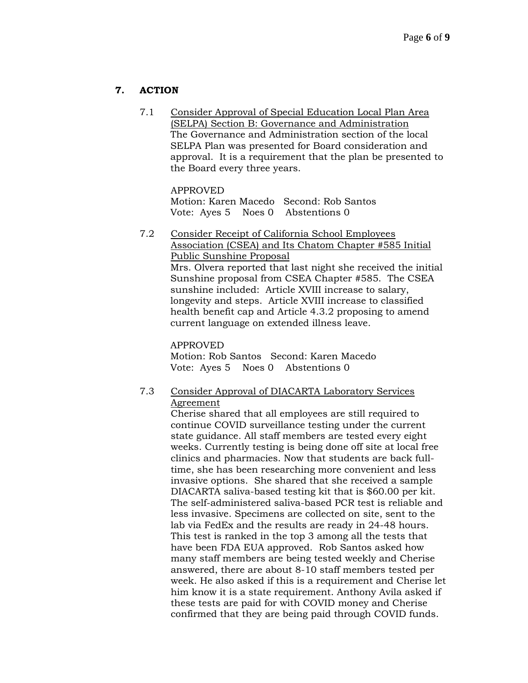## **7. ACTION**

7.1 Consider Approval of Special Education Local Plan Area (SELPA) Section B: Governance and Administration The Governance and Administration section of the local SELPA Plan was presented for Board consideration and approval. It is a requirement that the plan be presented to the Board every three years.

APPROVED Motion: Karen Macedo Second: Rob Santos Vote: Ayes 5 Noes 0 Abstentions 0

7.2 Consider Receipt of California School Employees Association (CSEA) and Its Chatom Chapter #585 Initial Public Sunshine Proposal Mrs. Olvera reported that last night she received the initial Sunshine proposal from CSEA Chapter #585. The CSEA sunshine included: Article XVIII increase to salary, longevity and steps. Article XVIII increase to classified health benefit cap and Article 4.3.2 proposing to amend current language on extended illness leave.

APPROVED Motion: Rob Santos Second: Karen Macedo Vote: Ayes 5 Noes 0 Abstentions 0

7.3 Consider Approval of DIACARTA Laboratory Services Agreement

> Cherise shared that all employees are still required to continue COVID surveillance testing under the current state guidance. All staff members are tested every eight weeks. Currently testing is being done off site at local free clinics and pharmacies. Now that students are back fulltime, she has been researching more convenient and less invasive options. She shared that she received a sample DIACARTA saliva-based testing kit that is \$60.00 per kit. The self-administered saliva-based PCR test is reliable and less invasive. Specimens are collected on site, sent to the lab via FedEx and the results are ready in 24-48 hours. This test is ranked in the top 3 among all the tests that have been FDA EUA approved. Rob Santos asked how many staff members are being tested weekly and Cherise answered, there are about 8-10 staff members tested per week. He also asked if this is a requirement and Cherise let him know it is a state requirement. Anthony Avila asked if these tests are paid for with COVID money and Cherise confirmed that they are being paid through COVID funds.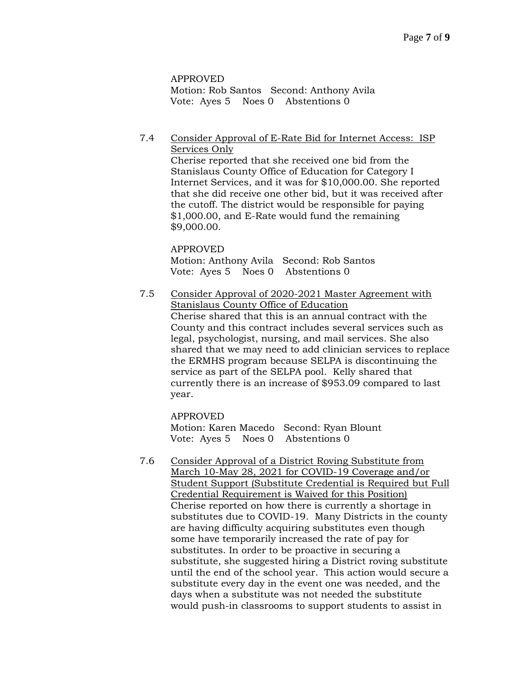APPROVED Motion: Rob Santos Second: Anthony Avila Vote: Ayes 5 Noes 0 Abstentions 0

### 7.4 Consider Approval of E-Rate Bid for Internet Access: ISP Services Only

Cherise reported that she received one bid from the Stanislaus County Office of Education for Category I Internet Services, and it was for \$10,000.00. She reported that she did receive one other bid, but it was received after the cutoff. The district would be responsible for paying \$1,000.00, and E-Rate would fund the remaining \$9,000.00.

# APPROVED Motion: Anthony Avila Second: Rob Santos Vote: Ayes 5 Noes 0 Abstentions 0

7.5 Consider Approval of 2020-2021 Master Agreement with Stanislaus County Office of Education Cherise shared that this is an annual contract with the County and this contract includes several services such as legal, psychologist, nursing, and mail services. She also shared that we may need to add clinician services to replace the ERMHS program because SELPA is discontinuing the service as part of the SELPA pool. Kelly shared that currently there is an increase of \$953.09 compared to last year.

APPROVED Motion: Karen Macedo Second: Ryan Blount Vote: Ayes 5 Noes 0 Abstentions 0

7.6 Consider Approval of a District Roving Substitute from March 10-May 28, 2021 for COVID-19 Coverage and/or Student Support (Substitute Credential is Required but Full Credential Requirement is Waived for this Position) Cherise reported on how there is currently a shortage in substitutes due to COVID-19. Many Districts in the county are having difficulty acquiring substitutes even though some have temporarily increased the rate of pay for substitutes. In order to be proactive in securing a substitute, she suggested hiring a District roving substitute until the end of the school year. This action would secure a substitute every day in the event one was needed, and the days when a substitute was not needed the substitute would push-in classrooms to support students to assist in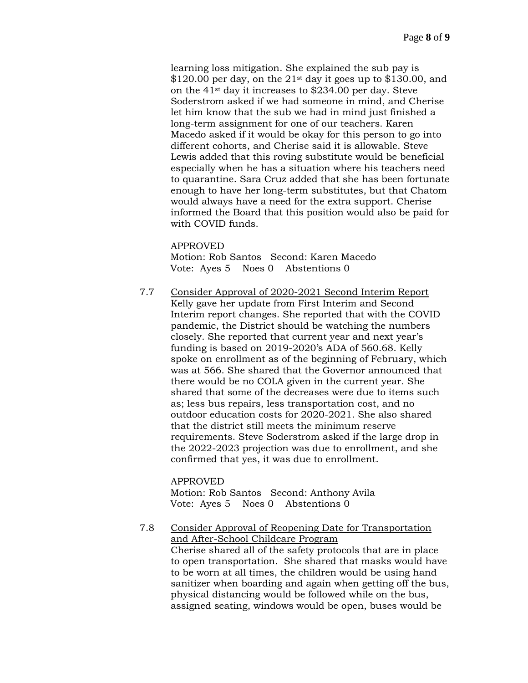learning loss mitigation. She explained the sub pay is  $$120.00$  per day, on the  $21<sup>st</sup>$  day it goes up to \$130.00, and on the 41st day it increases to \$234.00 per day. Steve Soderstrom asked if we had someone in mind, and Cherise let him know that the sub we had in mind just finished a long-term assignment for one of our teachers. Karen Macedo asked if it would be okay for this person to go into different cohorts, and Cherise said it is allowable. Steve Lewis added that this roving substitute would be beneficial especially when he has a situation where his teachers need to quarantine. Sara Cruz added that she has been fortunate enough to have her long-term substitutes, but that Chatom would always have a need for the extra support. Cherise informed the Board that this position would also be paid for with COVID funds.

APPROVED

Motion: Rob Santos Second: Karen Macedo Vote: Ayes 5 Noes 0 Abstentions 0

7.7 Consider Approval of 2020-2021 Second Interim Report Kelly gave her update from First Interim and Second Interim report changes. She reported that with the COVID pandemic, the District should be watching the numbers closely. She reported that current year and next year's funding is based on 2019-2020's ADA of 560.68. Kelly spoke on enrollment as of the beginning of February, which was at 566. She shared that the Governor announced that there would be no COLA given in the current year. She shared that some of the decreases were due to items such as; less bus repairs, less transportation cost, and no outdoor education costs for 2020-2021. She also shared that the district still meets the minimum reserve requirements. Steve Soderstrom asked if the large drop in the 2022-2023 projection was due to enrollment, and she confirmed that yes, it was due to enrollment.

APPROVED Motion: Rob Santos Second: Anthony Avila Vote: Ayes 5 Noes 0 Abstentions 0

7.8 Consider Approval of Reopening Date for Transportation and After-School Childcare Program Cherise shared all of the safety protocols that are in place to open transportation. She shared that masks would have to be worn at all times, the children would be using hand sanitizer when boarding and again when getting off the bus, physical distancing would be followed while on the bus, assigned seating, windows would be open, buses would be